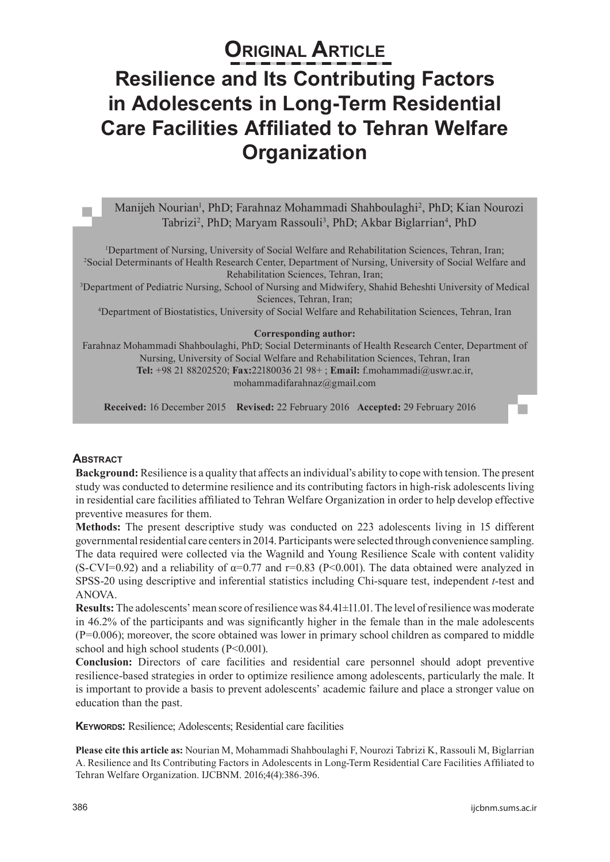# **ORIGINAL ARTICLE Resilience and Its Contributing Factors in Adolescents in Long-Term Residential Care Facilities Affiliated to Tehran Welfare Organization**

## Manijeh Nourian<sup>1</sup>, PhD; Farahnaz Mohammadi Shahboulaghi<sup>2</sup>, PhD; Kian Nourozi Tabrizi<sup>2</sup>, PhD; Maryam Rassouli<sup>3</sup>, PhD; Akbar Biglarrian<sup>4</sup>, PhD

<sup>1</sup>Department of Nursing, University of Social Welfare and Rehabilitation Sciences, Tehran, Iran;<br><sup>2</sup>Social Determinants of Health Research Center, Department of Nursing, University of Social Welfare <sup>2</sup>Social Determinants of Health Research Center, Department of Nursing, University of Social Welfare and

Rehabilitation Sciences, Tehran, Iran;<br><sup>3</sup>Department of Pediatric Nursing, School of Nursing and Midwifery, Shahid Beheshti University of Medical Sciences, Tehran, Iran;

4 Department of Biostatistics, University of Social Welfare and Rehabilitation Sciences, Tehran, Iran

#### **Corresponding author:**

Farahnaz Mohammadi Shahboulaghi, PhD; Social Determinants of Health Research Center, Department of Nursing, University of Social Welfare and Rehabilitation Sciences, Tehran, Iran **Tel:** +98 21 88202520; **Fax:**22180036 21 98+ ; **Email:** f.mohammadi@uswr.ac.ir, mohammadifarahnaz@gmail.com

**Received:** 16 December 2015 **Revised:** 22 February 2016 **Accepted:** 29 February 2016

#### **Abstract**

**Background:** Resilience is a quality that affects an individual's ability to cope with tension. The present study was conducted to determine resilience and its contributing factors in high-risk adolescents living in residential care facilities affiliated to Tehran Welfare Organization in order to help develop effective preventive measures for them.

**Methods:** The present descriptive study was conducted on 223 adolescents living in 15 different governmental residential care centers in 2014. Participants were selected through convenience sampling. The data required were collected via the Wagnild and Young Resilience Scale with content validity (S-CVI=0.92) and a reliability of  $\alpha$ =0.77 and r=0.83 (P<0.001). The data obtained were analyzed in SPSS-20 using descriptive and inferential statistics including Chi-square test, independent *t*-test and ANOVA.

**Results:** The adolescents' mean score of resilience was 84.41±11.01. The level of resilience was moderate in 46.2% of the participants and was significantly higher in the female than in the male adolescents  $(P=0.006)$ ; moreover, the score obtained was lower in primary school children as compared to middle school and high school students (P<0.001).

**Conclusion:** Directors of care facilities and residential care personnel should adopt preventive resilience-based strategies in order to optimize resilience among adolescents, particularly the male. It is important to provide a basis to prevent adolescents' academic failure and place a stronger value on education than the past.

**Keywords:** Resilience; Adolescents; Residential care facilities

**Please cite this article as:** Nourian M, Mohammadi Shahboulaghi F, Nourozi Tabrizi K, Rassouli M, Biglarrian A. Resilience and Its Contributing Factors in Adolescents in Long-Term Residential Care Facilities Affiliated to Tehran Welfare Organization. IJCBNM. 2016;4(4):386-396.

п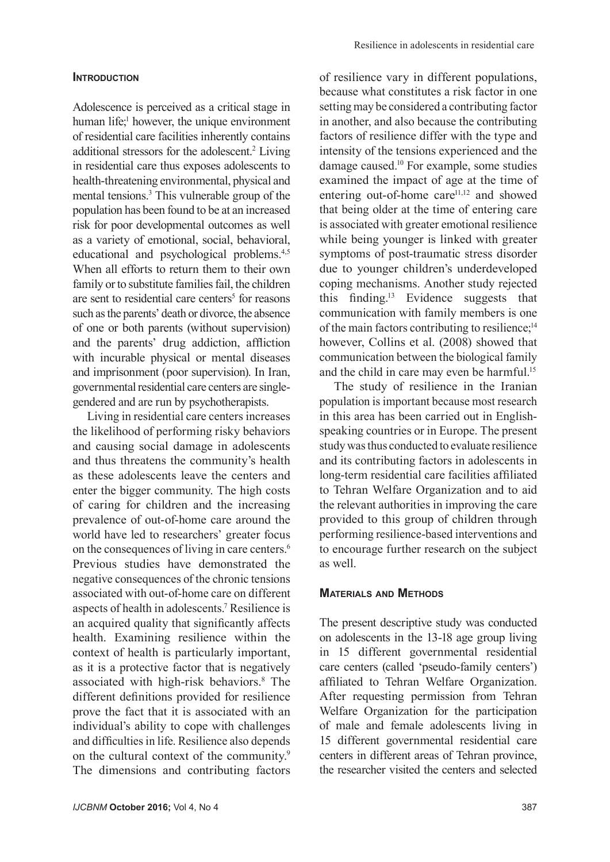#### **INTRODUCTION**

Adolescence is perceived as a critical stage in human life;<sup>1</sup> however, the unique environment of residential care facilities inherently contains additional stressors for the adolescent.<sup>2</sup> Living in residential care thus exposes adolescents to health-threatening environmental, physical and mental tensions.<sup>3</sup> This vulnerable group of the population has been found to be at an increased risk for poor developmental outcomes as well as a variety of emotional, social, behavioral, educational and psychological problems.<sup>4,5</sup> When all efforts to return them to their own family or to substitute families fail, the children are sent to residential care centers<sup>5</sup> for reasons such as the parents' death or divorce, the absence of one or both parents (without supervision) and the parents' drug addiction, affliction with incurable physical or mental diseases and imprisonment (poor supervision). In Iran, governmental residential care centers are singlegendered and are run by psychotherapists.

Living in residential care centers increases the likelihood of performing risky behaviors and causing social damage in adolescents and thus threatens the community's health as these adolescents leave the centers and enter the bigger community. The high costs of caring for children and the increasing prevalence of out-of-home care around the world have led to researchers' greater focus on the consequences of living in care centers.6 Previous studies have demonstrated the negative consequences of the chronic tensions associated with out-of-home care on different aspects of health in adolescents.<sup>7</sup> Resilience is an acquired quality that significantly affects health. Examining resilience within the context of health is particularly important, as it is a protective factor that is negatively associated with high-risk behaviors.8 The different definitions provided for resilience prove the fact that it is associated with an individual's ability to cope with challenges and difficulties in life. Resilience also depends on the cultural context of the community.9 The dimensions and contributing factors

of resilience vary in different populations, because what constitutes a risk factor in one setting may be considered a contributing factor in another, and also because the contributing factors of resilience differ with the type and intensity of the tensions experienced and the damage caused.10 For example, some studies examined the impact of age at the time of entering out-of-home care<sup>11,12</sup> and showed that being older at the time of entering care is associated with greater emotional resilience while being younger is linked with greater symptoms of post-traumatic stress disorder due to younger children's underdeveloped coping mechanisms. Another study rejected this finding.13 Evidence suggests that communication with family members is one of the main factors contributing to resilience;<sup>14</sup> however, Collins et al. (2008) showed that communication between the biological family and the child in care may even be harmful.<sup>15</sup>

The study of resilience in the Iranian population is important because most research in this area has been carried out in Englishspeaking countries or in Europe. The present study was thus conducted to evaluate resilience and its contributing factors in adolescents in long-term residential care facilities affiliated to Tehran Welfare Organization and to aid the relevant authorities in improving the care provided to this group of children through performing resilience-based interventions and to encourage further research on the subject as well.

#### **Materials and Methods**

The present descriptive study was conducted on adolescents in the 13-18 age group living in 15 different governmental residential care centers (called 'pseudo-family centers') affiliated to Tehran Welfare Organization. After requesting permission from Tehran Welfare Organization for the participation of male and female adolescents living in 15 different governmental residential care centers in different areas of Tehran province, the researcher visited the centers and selected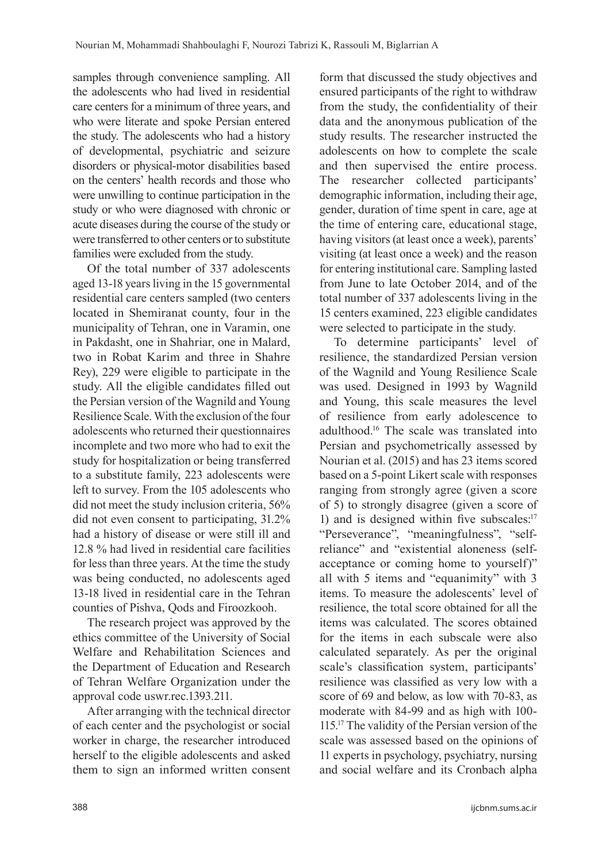samples through convenience sampling. All the adolescents who had lived in residential care centers for a minimum of three years, and who were literate and spoke Persian entered the study. The adolescents who had a history of developmental, psychiatric and seizure disorders or physical-motor disabilities based on the centers' health records and those who were unwilling to continue participation in the study or who were diagnosed with chronic or acute diseases during the course of the study or were transferred to other centers or to substitute families were excluded from the study.

Of the total number of 337 adolescents aged 13-18 years living in the 15 governmental residential care centers sampled (two centers located in Shemiranat county, four in the municipality of Tehran, one in Varamin, one in Pakdasht, one in Shahriar, one in Malard, two in Robat Karim and three in Shahre Rey), 229 were eligible to participate in the study. All the eligible candidates filled out the Persian version of the Wagnild and Young Resilience Scale. With the exclusion of the four adolescents who returned their questionnaires incomplete and two more who had to exit the study for hospitalization or being transferred to a substitute family, 223 adolescents were left to survey. From the 105 adolescents who did not meet the study inclusion criteria, 56% did not even consent to participating, 31.2% had a history of disease or were still ill and 12.8 % had lived in residential care facilities for less than three years. At the time the study was being conducted, no adolescents aged 13-18 lived in residential care in the Tehran counties of Pishva, Qods and Firoozkooh.

The research project was approved by the ethics committee of the University of Social Welfare and Rehabilitation Sciences and the Department of Education and Research of Tehran Welfare Organization under the approval code uswr.rec.1393.211.

After arranging with the technical director of each center and the psychologist or social worker in charge, the researcher introduced herself to the eligible adolescents and asked them to sign an informed written consent form that discussed the study objectives and ensured participants of the right to withdraw from the study, the confidentiality of their data and the anonymous publication of the study results. The researcher instructed the adolescents on how to complete the scale and then supervised the entire process. The researcher collected participants' demographic information, including their age, gender, duration of time spent in care, age at the time of entering care, educational stage, having visitors (at least once a week), parents' visiting (at least once a week) and the reason for entering institutional care. Sampling lasted from June to late October 2014, and of the total number of 337 adolescents living in the 15 centers examined, 223 eligible candidates were selected to participate in the study.

To determine participants' level of resilience, the standardized Persian version of the Wagnild and Young Resilience Scale was used. Designed in 1993 by Wagnild and Young, this scale measures the level of resilience from early adolescence to adulthood.16 The scale was translated into Persian and psychometrically assessed by Nourian et al. (2015) and has 23 items scored based on a 5-point Likert scale with responses ranging from strongly agree (given a score of 5) to strongly disagree (given a score of 1) and is designed within five subscales:<sup>17</sup> "Perseverance", "meaningfulness", "selfreliance" and "existential aloneness (selfacceptance or coming home to yourself)" all with 5 items and "equanimity" with 3 items. To measure the adolescents' level of resilience, the total score obtained for all the items was calculated. The scores obtained for the items in each subscale were also calculated separately. As per the original scale's classification system, participants' resilience was classified as very low with a score of 69 and below, as low with 70-83, as moderate with 84-99 and as high with 100- 115.<sup>17</sup> The validity of the Persian version of the scale was assessed based on the opinions of 11 experts in psychology, psychiatry, nursing and social welfare and its Cronbach alpha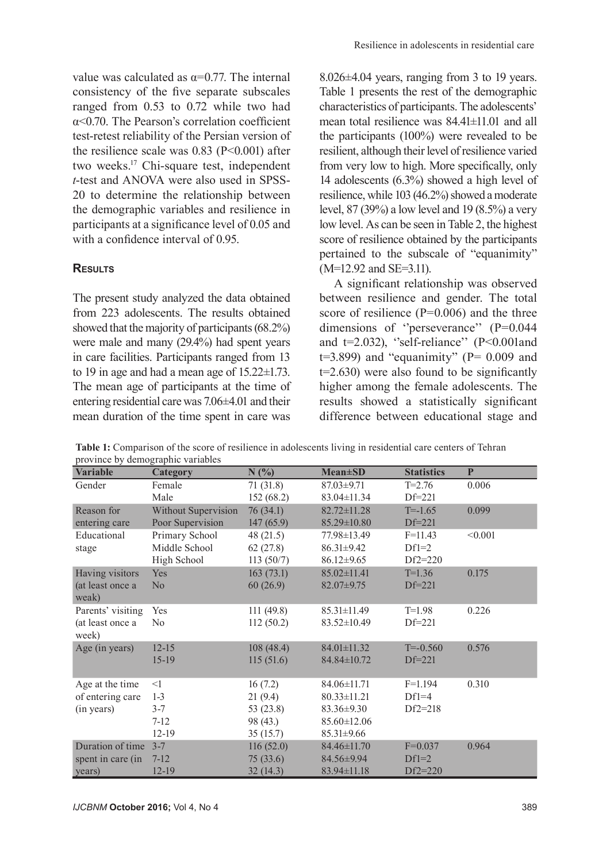value was calculated as  $\alpha = 0.77$ . The internal consistency of the five separate subscales ranged from 0.53 to 0.72 while two had  $\alpha$ <0.70. The Pearson's correlation coefficient. test-retest reliability of the Persian version of the resilience scale was  $0.83$  (P<0.001) after two weeks.<sup>17</sup> Chi-square test, independent *t*-test and ANOVA were also used in SPSS-20 to determine the relationship between the demographic variables and resilience in participants at a significance level of 0.05 and with a confidence interval of 0.95.

## **Results**

The present study analyzed the data obtained from 223 adolescents. The results obtained showed that the majority of participants (68.2%) were male and many (29.4%) had spent years in care facilities. Participants ranged from 13 to 19 in age and had a mean age of 15.22±1.73. The mean age of participants at the time of entering residential care was 7.06±4.01 and their mean duration of the time spent in care was 8.026±4.04 years, ranging from 3 to 19 years. Table 1 presents the rest of the demographic characteristics of participants. The adolescents' mean total resilience was  $84.41 \pm 11.01$  and all the participants (100%) were revealed to be resilient, although their level of resilience varied from very low to high. More specifically, only 14 adolescents (6.3%) showed a high level of resilience, while 103 (46.2%) showed a moderate level, 87 (39%) a low level and 19 (8.5%) a very low level. As can be seen in Table 2, the highest score of resilience obtained by the participants pertained to the subscale of "equanimity" (M=12.92 and SE=3.11).

A significant relationship was observed between resilience and gender. The total score of resilience (P=0.006) and the three dimensions of ''perseverance'' (P=0.044 and  $t=2.032$ ), "self-reliance" (P<0.001and  $t=3.899$ ) and "equanimity" (P= 0.009 and t=2.630) were also found to be significantly higher among the female adolescents. The results showed a statistically significant difference between educational stage and

| Table 1: Comparison of the score of resilience in adolescents living in residential care centers of Tehran |
|------------------------------------------------------------------------------------------------------------|
| province by demographic variables                                                                          |

| <b>Variable</b>   | province by actinographic variables<br><b>Category</b> | N(%)        | <b>Mean</b> ±SD   | <b>Statistics</b> | $\mathbf{P}$ |
|-------------------|--------------------------------------------------------|-------------|-------------------|-------------------|--------------|
| Gender            | Female                                                 | 71(31.8)    | 87.03±9.71        | $T = 2.76$        | 0.006        |
|                   | Male                                                   | 152(68.2)   | $83.04 \pm 11.34$ | $Df=221$          |              |
| Reason for        | Without Supervision                                    | 76(34.1)    | $82.72 \pm 11.28$ | $T = -1.65$       | 0.099        |
| entering care     | Poor Supervision                                       | 147(65.9)   | 85.29±10.80       | $Df=221$          |              |
| Educational       | Primary School                                         | 48(21.5)    | 77.98±13.49       | $F=11.43$         | < 0.001      |
| stage             | Middle School                                          | 62(27.8)    | $86.31 \pm 9.42$  | $Df1=2$           |              |
|                   | High School                                            | 113(50/7)   | $86.12 \pm 9.65$  | $Df2=220$         |              |
| Having visitors   | Yes                                                    | 163(73.1)   | $85.02 \pm 11.41$ | $T=1.36$          | 0.175        |
| (at least once a  | No                                                     | 60(26.9)    | $82.07 \pm 9.75$  | $Df=221$          |              |
| weak)             |                                                        |             |                   |                   |              |
| Parents' visiting | Yes                                                    | 111(49.8)   | 85.31±11.49       | $T=1.98$          | 0.226        |
| (at least once a  | N <sub>0</sub>                                         | 112(50.2)   | $83.52 \pm 10.49$ | $Df=221$          |              |
| week)             |                                                        |             |                   |                   |              |
| Age (in years)    | $12-15$                                                | 108(48.4)   | 84.01±11.32       | $T = -0.560$      | 0.576        |
|                   | $15-19$                                                | 115(51.6)   | 84.84±10.72       | $Df=221$          |              |
|                   |                                                        |             |                   |                   |              |
| Age at the time   | $\leq$ 1                                               | 16(7.2)     | $84.06 \pm 11.71$ | $F=1.194$         | 0.310        |
| of entering care  | $1 - 3$                                                | 21(9.4)     | $80.33 \pm 11.21$ | $Df1=4$           |              |
| (in years)        | $3 - 7$                                                | 53 $(23.8)$ | $83.36 \pm 9.30$  | $Df2=218$         |              |
|                   | $7 - 12$                                               | 98 (43.)    | $85.60 \pm 12.06$ |                   |              |
|                   | $12-19$                                                | 35(15.7)    | $85.31 \pm 9.66$  |                   |              |
| Duration of time  | $3 - 7$                                                | 116(52.0)   | 84.46±11.70       | $F=0.037$         | 0.964        |
| spent in care (in | $7 - 12$                                               | 75(33.6)    | 84.56±9.94        | $Df1=2$           |              |
| years)            | $12-19$                                                | 32(14.3)    | 83.94±11.18       | $Df2=220$         |              |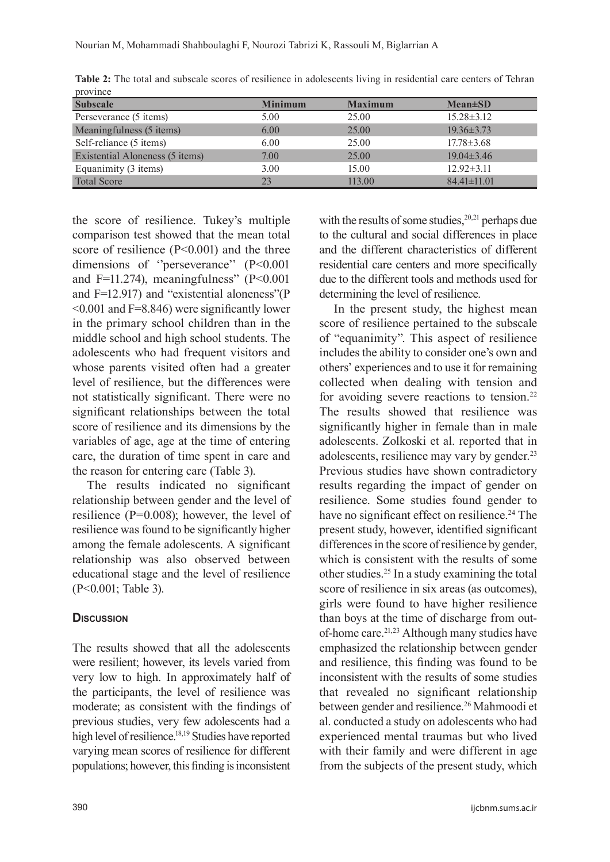| <b>Subscale</b>                 | <b>Minimum</b> | <b>Maximum</b> | $Mean \pm SD$     |
|---------------------------------|----------------|----------------|-------------------|
| Perseverance (5 items)          | 5.00           | 25.00          | $15.28 \pm 3.12$  |
| Meaningfulness (5 items)        | 6.00           | 25.00          | $19.36 \pm 3.73$  |
| Self-reliance (5 items)         | 6.00           | 25.00          | $17.78 \pm 3.68$  |
| Existential Aloneness (5 items) | 7.00           | 25.00          | $19.04 \pm 3.46$  |
| Equanimity (3 items)            | 3.00           | 15.00          | $12.92 \pm 3.11$  |
| <b>Total Score</b>              | 23             | 113.00         | $84.41 \pm 11.01$ |

**Table 2:** The total and subscale scores of resilience in adolescents living in residential care centers of Tehran province

the score of resilience. Tukey's multiple comparison test showed that the mean total score of resilience (P<0.001) and the three dimensions of "perseverance" (P<0.001) and F=11.274), meaningfulness" ( $P \le 0.001$ and F=12.917) and "existential aloneness"(P  $\leq 0.001$  and F=8.846) were significantly lower in the primary school children than in the middle school and high school students. The adolescents who had frequent visitors and whose parents visited often had a greater level of resilience, but the differences were not statistically significant. There were no significant relationships between the total score of resilience and its dimensions by the variables of age, age at the time of entering care, the duration of time spent in care and the reason for entering care (Table 3).

The results indicated no significant relationship between gender and the level of resilience (P=0.008); however, the level of resilience was found to be significantly higher among the female adolescents. A significant relationship was also observed between educational stage and the level of resilience (P<0.001; Table 3).

## **Discussion**

The results showed that all the adolescents were resilient; however, its levels varied from very low to high. In approximately half of the participants, the level of resilience was moderate; as consistent with the findings of previous studies, very few adolescents had a high level of resilience.<sup>18,19</sup> Studies have reported varying mean scores of resilience for different populations; however, this finding is inconsistent with the results of some studies,  $20,21$  perhaps due to the cultural and social differences in place and the different characteristics of different residential care centers and more specifically due to the different tools and methods used for determining the level of resilience.

In the present study, the highest mean score of resilience pertained to the subscale of "equanimity". This aspect of resilience includes the ability to consider one's own and others' experiences and to use it for remaining collected when dealing with tension and for avoiding severe reactions to tension.<sup>22</sup> The results showed that resilience was significantly higher in female than in male adolescents. Zolkoski et al. reported that in adolescents, resilience may vary by gender.<sup>23</sup> Previous studies have shown contradictory results regarding the impact of gender on resilience. Some studies found gender to have no significant effect on resilience.<sup>24</sup> The present study, however, identified significant differences in the score of resilience by gender, which is consistent with the results of some other studies.25 In a study examining the total score of resilience in six areas (as outcomes), girls were found to have higher resilience than boys at the time of discharge from outof-home care.21,23 Although many studies have emphasized the relationship between gender and resilience, this finding was found to be inconsistent with the results of some studies that revealed no significant relationship between gender and resilience.<sup>26</sup> Mahmoodi et al. conducted a study on adolescents who had experienced mental traumas but who lived with their family and were different in age from the subjects of the present study, which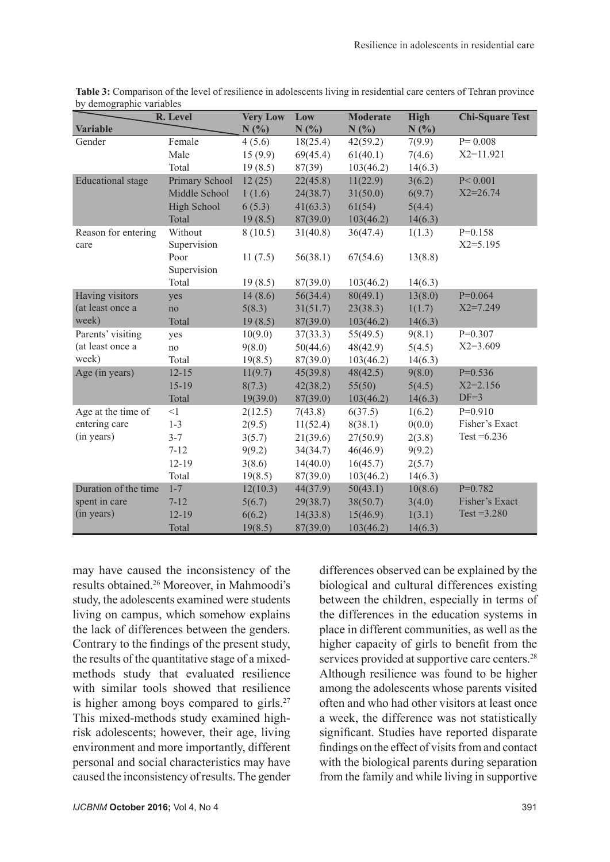|                          | R. Level       | <b>Very Low</b> | Low      | <b>Moderate</b> | <b>High</b> | <b>Chi-Square Test</b> |
|--------------------------|----------------|-----------------|----------|-----------------|-------------|------------------------|
| <b>Variable</b>          |                | N(%)            | N(%)     | N(%)            | N(%)        |                        |
| Gender                   | Female         | 4(5.6)          | 18(25.4) | 42(59.2)        | 7(9.9)      | $P = 0.008$            |
|                          | Male           | 15(9.9)         | 69(45.4) | 61(40.1)        | 7(4.6)      | $X2 = 11.921$          |
|                          | Total          | 19(8.5)         | 87(39)   | 103(46.2)       | 14(6.3)     |                        |
| <b>Educational</b> stage | Primary School | 12(25)          | 22(45.8) | 11(22.9)        | 3(6.2)      | P < 0.001              |
|                          | Middle School  | 1(1.6)          | 24(38.7) | 31(50.0)        | 6(9.7)      | $X2 = 26.74$           |
|                          | High School    | 6(5.3)          | 41(63.3) | 61(54)          | 5(4.4)      |                        |
|                          | Total          | 19(8.5)         | 87(39.0) | 103(46.2)       | 14(6.3)     |                        |
| Reason for entering      | Without        | 8(10.5)         | 31(40.8) | 36(47.4)        | 1(1.3)      | $P=0.158$              |
| care                     | Supervision    |                 |          |                 |             | $X2 = 5.195$           |
|                          | Poor           | 11(7.5)         | 56(38.1) | 67(54.6)        | 13(8.8)     |                        |
|                          | Supervision    |                 |          |                 |             |                        |
|                          | Total          | 19(8.5)         | 87(39.0) | 103(46.2)       | 14(6.3)     |                        |
| Having visitors          | yes            | 14(8.6)         | 56(34.4) | 80(49.1)        | 13(8.0)     | $P=0.064$              |
| (at least once a         | no             | 5(8.3)          | 31(51.7) | 23(38.3)        | 1(1.7)      | $X2 = 7.249$           |
| week)                    | Total          | 19(8.5)         | 87(39.0) | 103(46.2)       | 14(6.3)     |                        |
| Parents' visiting        | yes            | 10(9.0)         | 37(33.3) | 55(49.5)        | 9(8.1)      | $P=0.307$              |
| (at least once a         | no             | 9(8.0)          | 50(44.6) | 48(42.9)        | 5(4.5)      | $X2=3.609$             |
| week)                    | Total          | 19(8.5)         | 87(39.0) | 103(46.2)       | 14(6.3)     |                        |
| Age (in years)           | $12 - 15$      | 11(9.7)         | 45(39.8) | 48(42.5)        | 9(8.0)      | $P=0.536$              |
|                          | $15-19$        | 8(7.3)          | 42(38.2) | 55(50)          | 5(4.5)      | $X2 = 2.156$           |
|                          | Total          | 19(39.0)        | 87(39.0) | 103(46.2)       | 14(6.3)     | $DF=3$                 |
| Age at the time of       | <1             | 2(12.5)         | 7(43.8)  | 6(37.5)         | 1(6.2)      | $P=0.910$              |
| entering care            | $1 - 3$        | 2(9.5)          | 11(52.4) | 8(38.1)         | 0(0.0)      | Fisher's Exact         |
| (in years)               | $3 - 7$        | 3(5.7)          | 21(39.6) | 27(50.9)        | 2(3.8)      | Test = $6.236$         |
|                          | $7 - 12$       | 9(9.2)          | 34(34.7) | 46(46.9)        | 9(9.2)      |                        |
|                          | 12-19          | 3(8.6)          | 14(40.0) | 16(45.7)        | 2(5.7)      |                        |
|                          | Total          | 19(8.5)         | 87(39.0) | 103(46.2)       | 14(6.3)     |                        |
| Duration of the time     | $1 - 7$        | 12(10.3)        | 44(37.9) | 50(43.1)        | 10(8.6)     | $P=0.782$              |
| spent in care            | $7 - 12$       | 5(6.7)          | 29(38.7) | 38(50.7)        | 3(4.0)      | Fisher's Exact         |
| (in years)               | $12-19$        | 6(6.2)          | 14(33.8) | 15(46.9)        | 1(3.1)      | $Test = 3.280$         |
|                          | Total          | 19(8.5)         | 87(39.0) | 103(46.2)       | 14(6.3)     |                        |

**Table 3:** Comparison of the level of resilience in adolescents living in residential care centers of Tehran province by demographic variables

may have caused the inconsistency of the results obtained.26 Moreover, in Mahmoodi's study, the adolescents examined were students living on campus, which somehow explains the lack of differences between the genders. Contrary to the findings of the present study, the results of the quantitative stage of a mixedmethods study that evaluated resilience with similar tools showed that resilience is higher among boys compared to girls. $27$ This mixed-methods study examined highrisk adolescents; however, their age, living environment and more importantly, different personal and social characteristics may have caused the inconsistency of results. The gender differences observed can be explained by the biological and cultural differences existing between the children, especially in terms of the differences in the education systems in place in different communities, as well as the higher capacity of girls to benefit from the services provided at supportive care centers.<sup>28</sup> Although resilience was found to be higher among the adolescents whose parents visited often and who had other visitors at least once a week, the difference was not statistically significant. Studies have reported disparate findings on the effect of visits from and contact with the biological parents during separation from the family and while living in supportive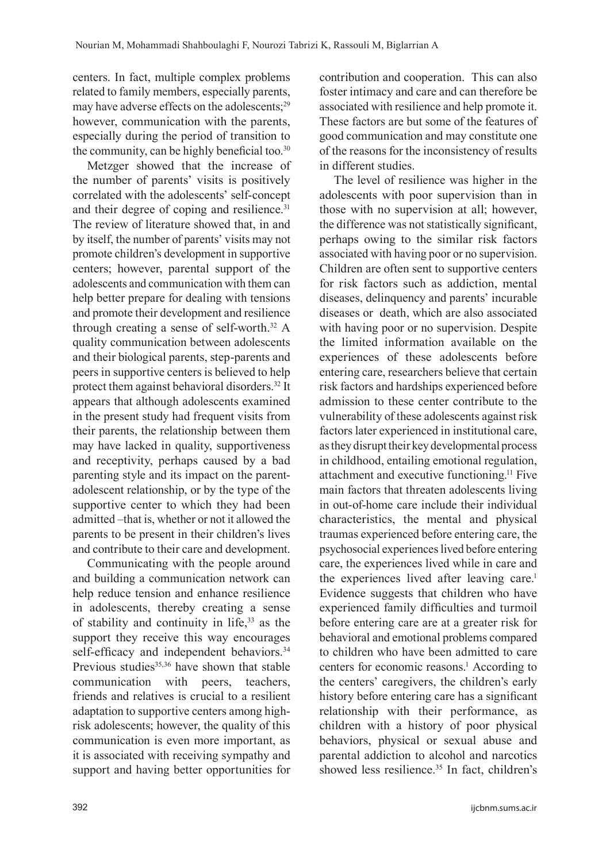centers. In fact, multiple complex problems related to family members, especially parents, may have adverse effects on the adolescents;29 however, communication with the parents, especially during the period of transition to the community, can be highly beneficial too.<sup>30</sup>

Metzger showed that the increase of the number of parents' visits is positively correlated with the adolescents' self-concept and their degree of coping and resilience.<sup>31</sup> The review of literature showed that, in and by itself, the number of parents' visits may not promote children's development in supportive centers; however, parental support of the adolescents and communication with them can help better prepare for dealing with tensions and promote their development and resilience through creating a sense of self-worth.32 A quality communication between adolescents and their biological parents, step-parents and peers in supportive centers is believed to help protect them against behavioral disorders.32 It appears that although adolescents examined in the present study had frequent visits from their parents, the relationship between them may have lacked in quality, supportiveness and receptivity, perhaps caused by a bad parenting style and its impact on the parentadolescent relationship, or by the type of the supportive center to which they had been admitted –that is, whether or not it allowed the parents to be present in their children's lives and contribute to their care and development.

Communicating with the people around and building a communication network can help reduce tension and enhance resilience in adolescents, thereby creating a sense of stability and continuity in life,33 as the support they receive this way encourages self-efficacy and independent behaviors.<sup>34</sup> Previous studies<sup>35,36</sup> have shown that stable communication with peers, teachers, friends and relatives is crucial to a resilient adaptation to supportive centers among highrisk adolescents; however, the quality of this communication is even more important, as it is associated with receiving sympathy and support and having better opportunities for contribution and cooperation. This can also foster intimacy and care and can therefore be associated with resilience and help promote it. These factors are but some of the features of good communication and may constitute one of the reasons for the inconsistency of results in different studies.

The level of resilience was higher in the adolescents with poor supervision than in those with no supervision at all; however, the difference was not statistically significant, perhaps owing to the similar risk factors associated with having poor or no supervision. Children are often sent to supportive centers for risk factors such as addiction, mental diseases, delinquency and parents' incurable diseases or death, which are also associated with having poor or no supervision. Despite the limited information available on the experiences of these adolescents before entering care, researchers believe that certain risk factors and hardships experienced before admission to these center contribute to the vulnerability of these adolescents against risk factors later experienced in institutional care, as they disrupt their key developmental process in childhood, entailing emotional regulation, attachment and executive functioning.11 Five main factors that threaten adolescents living in out-of-home care include their individual characteristics, the mental and physical traumas experienced before entering care, the psychosocial experiences lived before entering care, the experiences lived while in care and the experiences lived after leaving care.<sup>1</sup> Evidence suggests that children who have experienced family difficulties and turmoil before entering care are at a greater risk for behavioral and emotional problems compared to children who have been admitted to care centers for economic reasons.<sup>1</sup> According to the centers' caregivers, the children's early history before entering care has a significant relationship with their performance, as children with a history of poor physical behaviors, physical or sexual abuse and parental addiction to alcohol and narcotics showed less resilience.<sup>35</sup> In fact, children's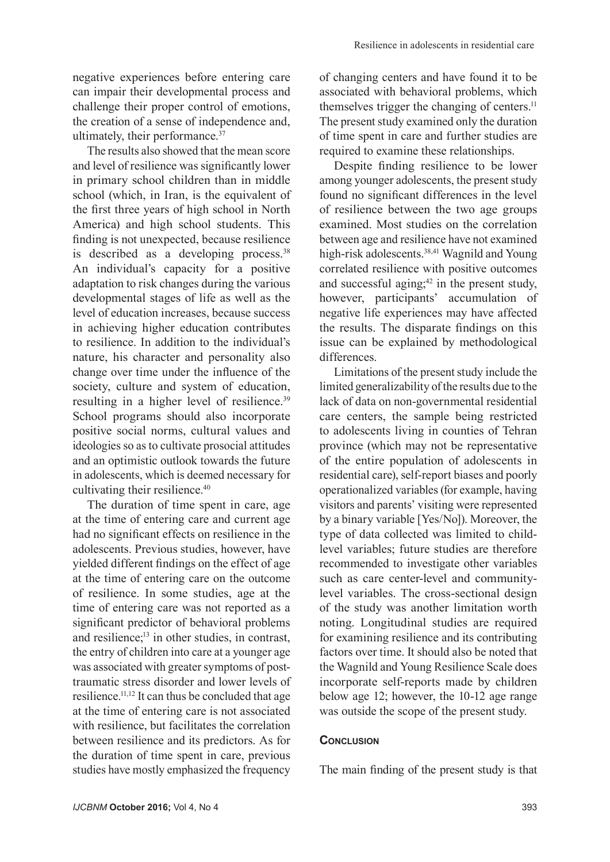negative experiences before entering care can impair their developmental process and challenge their proper control of emotions, the creation of a sense of independence and, ultimately, their performance.<sup>37</sup>

The results also showed that the mean score and level of resilience was significantly lower in primary school children than in middle school (which, in Iran, is the equivalent of the first three years of high school in North America) and high school students. This finding is not unexpected, because resilience is described as a developing process. $38$ An individual's capacity for a positive adaptation to risk changes during the various developmental stages of life as well as the level of education increases, because success in achieving higher education contributes to resilience. In addition to the individual's nature, his character and personality also change over time under the influence of the society, culture and system of education, resulting in a higher level of resilience.<sup>39</sup> School programs should also incorporate positive social norms, cultural values and ideologies so as to cultivate prosocial attitudes and an optimistic outlook towards the future in adolescents, which is deemed necessary for cultivating their resilience.<sup>40</sup>

The duration of time spent in care, age at the time of entering care and current age had no significant effects on resilience in the adolescents. Previous studies, however, have yielded different findings on the effect of age at the time of entering care on the outcome of resilience. In some studies, age at the time of entering care was not reported as a significant predictor of behavioral problems and resilience; $13$  in other studies, in contrast, the entry of children into care at a younger age was associated with greater symptoms of posttraumatic stress disorder and lower levels of resilience.11,12 It can thus be concluded that age at the time of entering care is not associated with resilience, but facilitates the correlation between resilience and its predictors. As for the duration of time spent in care, previous studies have mostly emphasized the frequency of changing centers and have found it to be associated with behavioral problems, which themselves trigger the changing of centers.<sup>11</sup> The present study examined only the duration of time spent in care and further studies are required to examine these relationships.

Despite finding resilience to be lower among younger adolescents, the present study found no significant differences in the level of resilience between the two age groups examined. Most studies on the correlation between age and resilience have not examined high-risk adolescents.<sup>38,41</sup> Wagnild and Young correlated resilience with positive outcomes and successful aging; $42$  in the present study, however, participants' accumulation of negative life experiences may have affected the results. The disparate findings on this issue can be explained by methodological differences.

Limitations of the present study include the limited generalizability of the results due to the lack of data on non-governmental residential care centers, the sample being restricted to adolescents living in counties of Tehran province (which may not be representative of the entire population of adolescents in residential care), self-report biases and poorly operationalized variables (for example, having visitors and parents' visiting were represented by a binary variable [Yes/No]). Moreover, the type of data collected was limited to childlevel variables; future studies are therefore recommended to investigate other variables such as care center-level and communitylevel variables. The cross-sectional design of the study was another limitation worth noting. Longitudinal studies are required for examining resilience and its contributing factors over time. It should also be noted that the Wagnild and Young Resilience Scale does incorporate self-reports made by children below age 12; however, the 10-12 age range was outside the scope of the present study.

#### **CONCLUSION**

The main finding of the present study is that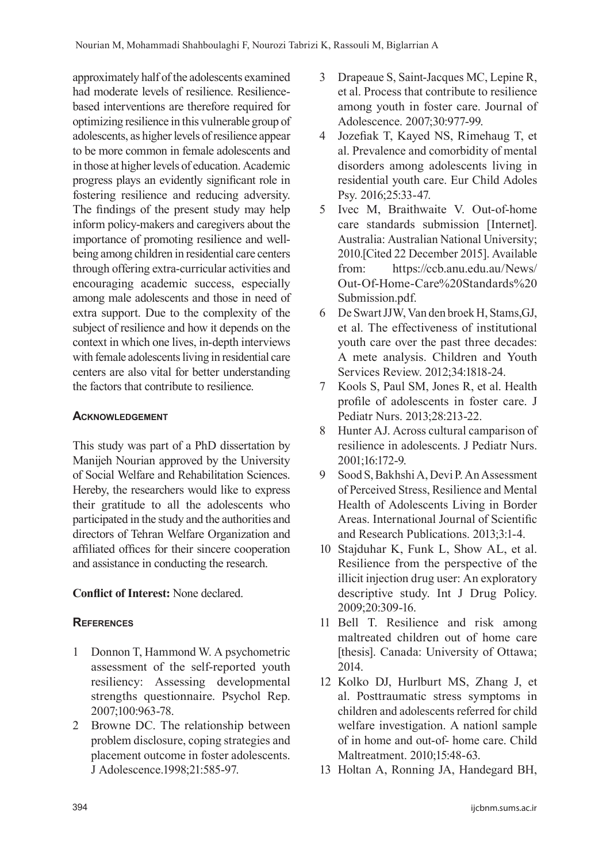approximately half of the adolescents examined had moderate levels of resilience. Resiliencebased interventions are therefore required for optimizing resilience in this vulnerable group of adolescents, as higher levels of resilience appear to be more common in female adolescents and in those at higher levels of education. Academic progress plays an evidently significant role in fostering resilience and reducing adversity. The findings of the present study may help inform policy-makers and caregivers about the importance of promoting resilience and wellbeing among children in residential care centers through offering extra-curricular activities and encouraging academic success, especially among male adolescents and those in need of extra support. Due to the complexity of the subject of resilience and how it depends on the context in which one lives, in-depth interviews with female adolescents living in residential care centers are also vital for better understanding the factors that contribute to resilience.

## **Acknowledgement**

This study was part of a PhD dissertation by Manijeh Nourian approved by the University of Social Welfare and Rehabilitation Sciences. Hereby, the researchers would like to express their gratitude to all the adolescents who participated in the study and the authorities and directors of Tehran Welfare Organization and affiliated offices for their sincere cooperation and assistance in conducting the research.

# **Conflict of Interest:** None declared.

## **References**

- 1 Donnon T, Hammond W. A psychometric assessment of the self-reported youth resiliency: Assessing developmental strengths questionnaire. Psychol Rep. 2007;100:963-78.
- 2 Browne DC. The relationship between problem disclosure, coping strategies and placement outcome in foster adolescents. J Adolescence.1998;21:585-97.
- 3 Drapeaue S, Saint-Jacques MC, Lepine R, et al. Process that contribute to resilience among youth in foster care. Journal of Adolescence. 2007;30:977-99.
- 4 Jozefiak T, Kayed NS, Rimehaug T, et al. Prevalence and comorbidity of mental disorders among adolescents living in residential youth care. Eur Child Adoles Psy. 2016;25:33-47.
- 5 Ivec M, Braithwaite V. Out-of-home care standards submission [Internet]. Australia: Australian National University; 2010.[Cited 22 December 2015]. Available from: https://ccb.anu.edu.au/News/ Out-Of-Home-Care%20Standards%20 Submission.pdf.
- 6 De Swart JJW, Van den broek H, Stams,GJ, et al. The effectiveness of institutional youth care over the past three decades: A mete analysis. Children and Youth Services Review. 2012;34:1818-24.
- 7 Kools S, Paul SM, Jones R, et al. Health profile of adolescents in foster care. J Pediatr Nurs. 2013;28:213-22.
- 8 Hunter AJ. Across cultural camparison of resilience in adolescents. J Pediatr Nurs. 2001;16:172-9.
- 9 Sood S, Bakhshi A, Devi P. An Assessment of Perceived Stress, Resilience and Mental Health of Adolescents Living in Border Areas. International Journal of Scientific and Research Publications. 2013;3:1-4.
- 10 Stajduhar K, Funk L, Show AL, et al. Resilience from the perspective of the illicit injection drug user: An exploratory descriptive study. Int J Drug Policy. 2009;20:309-16.
- 11 Bell T. Resilience and risk among maltreated children out of home care [thesis]. Canada: University of Ottawa; 2014.
- 12 Kolko DJ, Hurlburt MS, Zhang J, et al. Posttraumatic stress symptoms in children and adolescents referred for child welfare investigation. A nationl sample of in home and out-of- home care. Child Maltreatment. 2010;15:48-63.
- 13 Holtan A, Ronning JA, Handegard BH,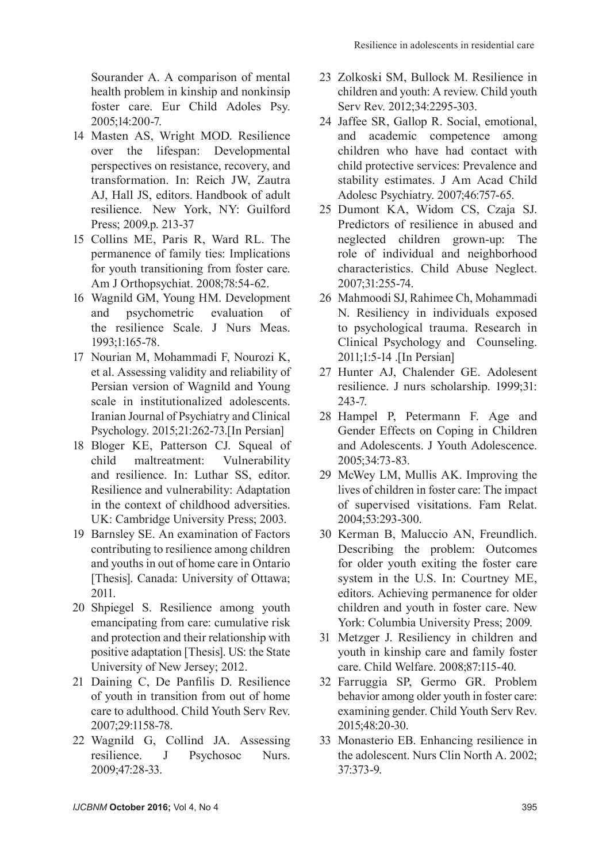Sourander A. A comparison of mental health problem in kinship and nonkinsip foster care. Eur Child Adoles Psy. 2005;14:200-7.

- 14 Masten AS, Wright MOD. Resilience over the lifespan: Developmental perspectives on resistance, recovery, and transformation. In: Reich JW, Zautra AJ, Hall JS, editors. Handbook of adult resilience. New York, NY: Guilford Press; 2009.p. 213-37
- 15 Collins ME, Paris R, Ward RL. The permanence of family ties: Implications for youth transitioning from foster care. Am J Orthopsychiat. 2008;78:54-62.
- 16 Wagnild GM, Young HM. Development and psychometric evaluation of the resilience Scale. J Nurs Meas. 1993;1:165-78.
- 17 Nourian M, Mohammadi F, Nourozi K, et al. Assessing validity and reliability of Persian version of Wagnild and Young scale in institutionalized adolescents. Iranian Journal of Psychiatry and Clinical Psychology. 2015;21:262-73.[In Persian]
- 18 Bloger KE, Patterson CJ. Squeal of child maltreatment: Vulnerability and resilience. In: Luthar SS, editor. Resilience and vulnerability: Adaptation in the context of childhood adversities. UK: Cambridge University Press; 2003.
- 19 Barnsley SE. An examination of Factors contributing to resilience among children and youths in out of home care in Ontario [Thesis]. Canada: University of Ottawa; 2011.
- 20 Shpiegel S. Resilience among youth emancipating from care: cumulative risk and protection and their relationship with positive adaptation [Thesis]. US: the State University of New Jersey; 2012.
- 21 Daining C, De Panfilis D. Resilience of youth in transition from out of home care to adulthood. Child Youth Serv Rev. 2007;29:1158-78.
- 22 Wagnild G, Collind JA. Assessing resilience. J Psychosoc Nurs. 2009;47:28-33.
- 23 Zolkoski SM, Bullock M. Resilience in children and youth: A review. Child youth Serv Rev. 2012;34:2295-303.
- 24 Jaffee SR, Gallop R. Social, emotional, and academic competence among children who have had contact with child protective services: Prevalence and stability estimates. J Am Acad Child Adolesc Psychiatry. 2007;46:757-65.
- 25 Dumont KA, Widom CS, Czaja SJ. Predictors of resilience in abused and neglected children grown-up: The role of individual and neighborhood characteristics. Child Abuse Neglect. 2007;31:255-74.
- 26 Mahmoodi SJ, Rahimee Ch, Mohammadi N. Resiliency in individuals exposed to psychological trauma. Research in Clinical Psychology and Counseling. 2011;1:5-14 .[In Persian]
- 27 Hunter AJ, Chalender GE. Adolesent resilience. J nurs scholarship. 1999;31: 243-7.
- 28 Hampel P, Petermann F. Age and Gender Effects on Coping in Children and Adolescents. J Youth Adolescence. 2005;34:73-83.
- 29 McWey LM, Mullis AK. Improving the lives of children in foster care: The impact of supervised visitations. Fam Relat. 2004;53:293-300.
- 30 Kerman B, Maluccio AN, Freundlich. Describing the problem: Outcomes for older youth exiting the foster care system in the U.S. In: Courtney ME, editors. Achieving permanence for older children and youth in foster care. New York: Columbia University Press; 2009.
- 31 Metzger J. Resiliency in children and youth in kinship care and family foster care. Child Welfare. 2008;87:115-40.
- 32 Farruggia SP, Germo GR. Problem behavior among older youth in foster care: examining gender. Child Youth Serv Rev. 2015;48:20-30.
- 33 Monasterio EB. Enhancing resilience in the adolescent. Nurs Clin North A. 2002; 37:373-9.